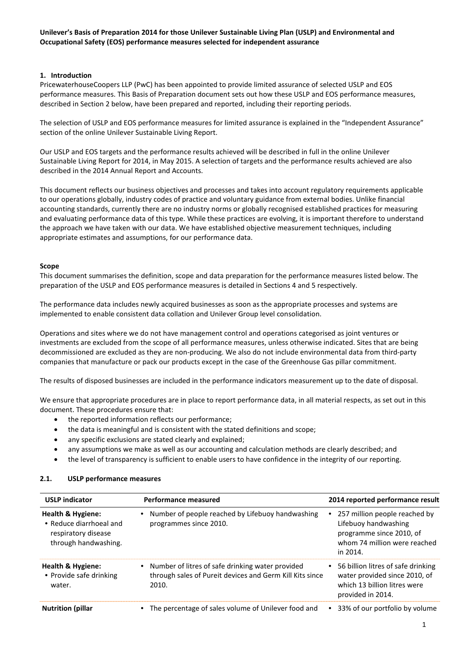## **1. Introduction**

PricewaterhouseCoopers LLP (PwC) has been appointed to provide limited assurance of selected USLP and EOS performance measures. This Basis of Preparation document sets out how these USLP and EOS performance measures, described in Section 2 below, have been prepared and reported, including their reporting periods.

The selection of USLP and EOS performance measures for limited assurance is explained in the "Independent Assurance" section of the online Unilever Sustainable Living Report.

Our USLP and EOS targets and the performance results achieved will be described in full in the online Unilever Sustainable Living Report for 2014, in May 2015. A selection of targets and the performance results achieved are also described in the 2014 Annual Report and Accounts.

This document reflects our business objectives and processes and takes into account regulatory requirements applicable to our operations globally, industry codes of practice and voluntary guidance from external bodies. Unlike financial accounting standards, currently there are no industry norms or globally recognised established practices for measuring and evaluating performance data of this type. While these practices are evolving, it is important therefore to understand the approach we have taken with our data. We have established objective measurement techniques, including appropriate estimates and assumptions, for our performance data.

### **Scope**

This document summarises the definition, scope and data preparation for the performance measures listed below. The preparation of the USLP and EOS performance measures is detailed in Sections 4 and 5 respectively.

The performance data includes newly acquired businesses as soon as the appropriate processes and systems are implemented to enable consistent data collation and Unilever Group level consolidation.

Operations and sites where we do not have management control and operations categorised as joint ventures or investments are excluded from the scope of all performance measures, unless otherwise indicated. Sites that are being decommissioned are excluded as they are non-producing. We also do not include environmental data from third-party companies that manufacture or pack our products except in the case of the Greenhouse Gas pillar commitment.

The results of disposed businesses are included in the performance indicators measurement up to the date of disposal.

We ensure that appropriate procedures are in place to report performance data, in all material respects, as set out in this document. These procedures ensure that:

- the reported information reflects our performance:
- the data is meaningful and is consistent with the stated definitions and scope;
- any specific exclusions are stated clearly and explained;
- any assumptions we make as well as our accounting and calculation methods are clearly described; and
- the level of transparency is sufficient to enable users to have confidence in the integrity of our reporting.

| <b>USLP indicator</b>                                                                                  | <b>Performance measured</b>                                                                                           | 2014 reported performance result                                                                                              |
|--------------------------------------------------------------------------------------------------------|-----------------------------------------------------------------------------------------------------------------------|-------------------------------------------------------------------------------------------------------------------------------|
| <b>Health &amp; Hygiene:</b><br>• Reduce diarrhoeal and<br>respiratory disease<br>through handwashing. | Number of people reached by Lifebuoy handwashing<br>programmes since 2010.                                            | 257 million people reached by<br>Lifebuoy handwashing<br>programme since 2010, of<br>whom 74 million were reached<br>in 2014. |
| Health & Hygiene:<br>• Provide safe drinking<br>water.                                                 | Number of litres of safe drinking water provided<br>through sales of Pureit devices and Germ Kill Kits since<br>2010. | • 56 billion litres of safe drinking<br>water provided since 2010, of<br>which 13 billion litres were<br>provided in 2014.    |
| <b>Nutrition (pillar</b>                                                                               | The percentage of sales volume of Unilever food and                                                                   | 33% of our portfolio by volume                                                                                                |

### **2.1. USLP performance measures**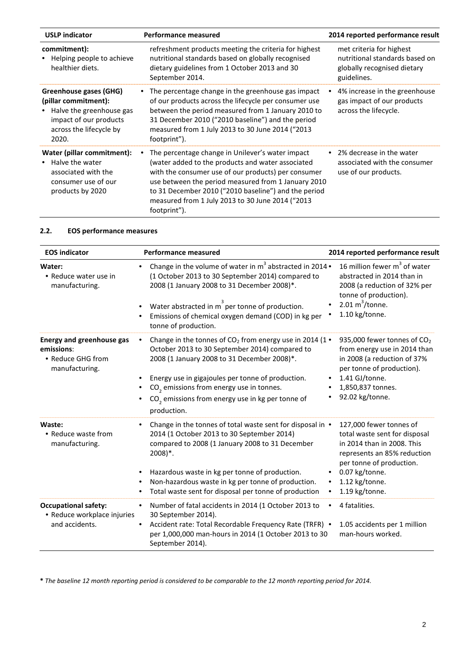| <b>USLP indicator</b>                                                                                                                                        | <b>Performance measured</b>                                                                                                                                                                                                                                                                                                                     | 2014 reported performance result                                                                         |
|--------------------------------------------------------------------------------------------------------------------------------------------------------------|-------------------------------------------------------------------------------------------------------------------------------------------------------------------------------------------------------------------------------------------------------------------------------------------------------------------------------------------------|----------------------------------------------------------------------------------------------------------|
| commitment):<br>• Helping people to achieve<br>healthier diets.                                                                                              | refreshment products meeting the criteria for highest<br>nutritional standards based on globally recognised<br>dietary guidelines from 1 October 2013 and 30<br>September 2014.                                                                                                                                                                 | met criteria for highest<br>nutritional standards based on<br>globally recognised dietary<br>guidelines. |
| <b>Greenhouse gases (GHG)</b><br>(pillar commitment):<br>Halve the greenhouse gas<br>$\bullet$<br>impact of our products<br>across the lifecycle by<br>2020. | The percentage change in the greenhouse gas impact<br>of our products across the lifecycle per consumer use<br>between the period measured from 1 January 2010 to<br>31 December 2010 ("2010 baseline") and the period<br>measured from 1 July 2013 to 30 June 2014 ("2013<br>footprint").                                                      | 4% increase in the greenhouse<br>gas impact of our products<br>across the lifecycle.                     |
| Water (pillar commitment):<br>Halve the water<br>$\bullet$<br>associated with the<br>consumer use of our<br>products by 2020                                 | The percentage change in Unilever's water impact<br>(water added to the products and water associated<br>with the consumer use of our products) per consumer<br>use between the period measured from 1 January 2010<br>to 31 December 2010 ("2010 baseline") and the period<br>measured from 1 July 2013 to 30 June 2014 ("2013<br>footprint"). | 2% decrease in the water<br>associated with the consumer<br>use of our products.                         |

# **2.2. EOS performance measures**

| <b>EOS indicator</b>                                                                  | <b>Performance measured</b>                                                                                                                                                                                                                                                                                                                                        | 2014 reported performance result                                                                                                                                                                        |
|---------------------------------------------------------------------------------------|--------------------------------------------------------------------------------------------------------------------------------------------------------------------------------------------------------------------------------------------------------------------------------------------------------------------------------------------------------------------|---------------------------------------------------------------------------------------------------------------------------------------------------------------------------------------------------------|
| Water:<br>• Reduce water use in<br>manufacturing.                                     | Change in the volume of water in $m^3$ abstracted in 2014 •<br>(1 October 2013 to 30 September 2014) compared to<br>2008 (1 January 2008 to 31 December 2008)*.<br>Water abstracted in m per tonne of production.<br>Emissions of chemical oxygen demand (COD) in kg per<br>tonne of production.                                                                   | 16 million fewer m <sup>3</sup> of water<br>abstracted in 2014 than in<br>2008 (a reduction of 32% per<br>tonne of production).<br>2.01 $m^3$ /tonne.<br>1.10 kg/tonne.                                 |
| <b>Energy and greenhouse gas</b><br>emissions:<br>• Reduce GHG from<br>manufacturing. | Change in the tonnes of $CO2$ from energy use in 2014 (1 $\bullet$<br>October 2013 to 30 September 2014) compared to<br>2008 (1 January 2008 to 31 December 2008)*.<br>Energy use in gigajoules per tonne of production.<br>CO <sub>2</sub> emissions from energy use in tonnes.<br>CO <sub>2</sub> emissions from energy use in kg per tonne of<br>production.    | 935,000 fewer tonnes of CO <sub>2</sub><br>from energy use in 2014 than<br>in 2008 (a reduction of 37%<br>per tonne of production).<br>1.41 GJ/tonne.<br>1,850,837 tonnes.<br>92.02 kg/tonne.           |
| Waste:<br>• Reduce waste from<br>manufacturing.                                       | Change in the tonnes of total waste sent for disposal in •<br>$\bullet$<br>2014 (1 October 2013 to 30 September 2014)<br>compared to 2008 (1 January 2008 to 31 December<br>$2008$ <sup>*</sup> .<br>Hazardous waste in kg per tonne of production.<br>Non-hazardous waste in kg per tonne of production.<br>Total waste sent for disposal per tonne of production | 127,000 fewer tonnes of<br>total waste sent for disposal<br>in 2014 than in 2008. This<br>represents an 85% reduction<br>per tonne of production.<br>0.07 kg/tonne.<br>1.12 kg/tonne.<br>1.19 kg/tonne. |
| <b>Occupational safety:</b><br>• Reduce workplace injuries<br>and accidents.          | Number of fatal accidents in 2014 (1 October 2013 to<br>30 September 2014).<br>Accident rate: Total Recordable Frequency Rate (TRFR) .<br>per 1,000,000 man-hours in 2014 (1 October 2013 to 30<br>September 2014).                                                                                                                                                | 4 fatalities.<br>1.05 accidents per 1 million<br>man-hours worked.                                                                                                                                      |

**\*** *The baseline 12 month reporting period is considered to be comparable to the 12 month reporting period for 2014.*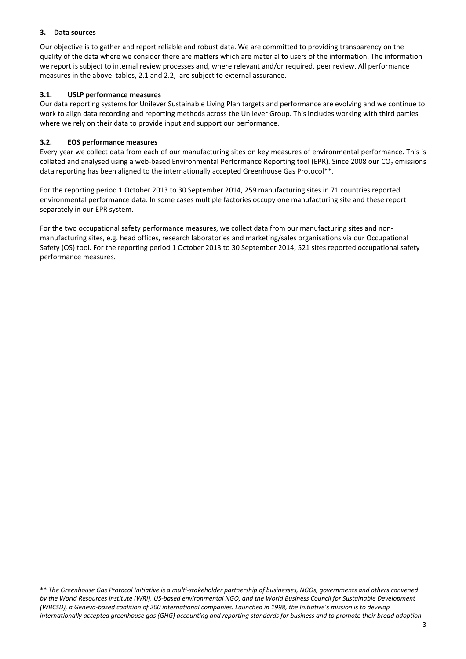## **3. Data sources**

Our objective is to gather and report reliable and robust data. We are committed to providing transparency on the quality of the data where we consider there are matters which are material to users of the information. The information we report is subject to internal review processes and, where relevant and/or required, peer review. All performance measures in the above tables, 2.1 and 2.2, are subject to external assurance.

## **3.1. USLP performance measures**

Our data reporting systems for Unilever Sustainable Living Plan targets and performance are evolving and we continue to work to align data recording and reporting methods across the Unilever Group. This includes working with third parties where we rely on their data to provide input and support our performance.

## **3.2. EOS performance measures**

collated and analysed using a web-based Environmental Performance Reporting tool (EPR). Since 2008 our CO<sub>2</sub> emissions Every year we collect data from each of our manufacturing sites on key measures of environmental performance. This is data reporting has been aligned to the internationally accepted Greenhouse Gas Protocol\*\*.

For the reporting period 1 October 2013 to 30 September 2014, 259 manufacturing sites in 71 countries reported environmental performance data. In some cases multiple factories occupy one manufacturing site and these report separately in our EPR system.

 For the two occupational safety performance measures, we collect data from our manufacturing sites and nonmanufacturing sites, e.g. head offices, research laboratories and marketing/sales organisations via our Occupational Safety (OS) tool. For the reporting period 1 October 2013 to 30 September 2014, 521 sites reported occupational safety performance measures.

\*\* The Greenhouse Gas Protocol Initiative is a multi-stakeholder partnership of businesses, NGOs, governments and others convened by the World Resources Institute (WRI), US-based environmental NGO, and the World Business Council for Sustainable Development (WBCSD), a Geneva-based coalition of 200 international companies. Launched in 1998, the Initiative's mission is to develop *internationally accepted greenhouse gas (GHG) accounting and reporting standards for business and to promote their broad adoption.*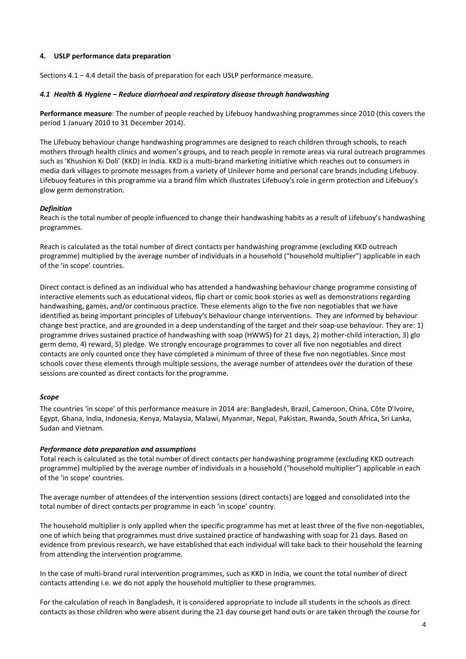## **4. USLP performance data preparation**

Sections 4.1 – 4.4 detail the basis of preparation for each USLP performance measure.

#### *4.1 Health & Hygiene – Reduce diarrhoeal and respiratory disease through handwashing*

**Performance measure**: The number of people reached by Lifebuoy handwashing programmes since 2010 (this covers the period 1 January 2010 to 31 December 2014).

The Lifebuoy behaviour change handwashing programmes are designed to reach children through schools, to reach mothers through health clinics and women's groups, and to reach people in remote areas via rural outreach programmes such as 'Khushion Ki Doli' (KKD) in India. KKD is a multi-brand marketing initiative which reaches out to consumers in media dark villages to promote messages from a variety of Unilever home and personal care brands including Lifebuoy. Lifebuoy features in this programme via a brand film which illustrates Lifebuoy's role in germ protection and Lifebuoy's glow germ demonstration.

#### *Definition*

Reach is the total number of people influenced to change their handwashing habits as a result of Lifebuoy's handwashing programmes.

Reach is calculated as the total number of direct contacts per handwashing programme (excluding KKD outreach programme) multiplied by the average number of individuals in a household ("household multiplier") applicable in each of the 'in scope' countries.

Direct contact is defined as an individual who has attended a handwashing behaviour change programme consisting of interactive elements such as educational videos, flip chart or comic book stories as well as demonstrations regarding handwashing, games, and/or continuous practice. These elements align to the five non negotiables that we have identified as being important principles of Lifebuoy's behaviour change interventions. They are informed by behaviour change best practice, and are grounded in a deep understanding of the target and their soap-use behaviour. They are: 1) programme drives sustained practice of handwashing with soap (HWWS) for 21 days, 2) mother-child interaction, 3) glo germ demo, 4) reward, 5) pledge. We strongly encourage programmes to cover all five non negotiables and direct contacts are only counted once they have completed a minimum of three of these five non negotiables. Since most schools cover these elements through multiple sessions, the average number of attendees over the duration of these sessions are counted as direct contacts for the programme.

#### *Scope*

The countries 'in scope' of this performance measure in 2014 are: Bangladesh, Brazil, Cameroon, China, Côte D'Ivoire, Egypt, Ghana, India, Indonesia, Kenya, Malaysia, Malawi, Myanmar, Nepal, Pakistan, Rwanda, South Africa, Sri Lanka, Sudan and Vietnam.

#### *Performance data preparation and assumptions*

Total reach is calculated as the total number of direct contacts per handwashing programme (excluding KKD outreach programme) multiplied by the average number of individuals in a household ("household multiplier") applicable in each of the 'in scope' countries.

The average number of attendees of the intervention sessions (direct contacts) are logged and consolidated into the total number of direct contacts per programme in each 'in scope' country.

The household multiplier is only applied when the specific programme has met at least three of the five non-negotiables, one of which being that programmes must drive sustained practice of handwashing with soap for 21 days. Based on evidence from previous research, we have established that each individual will take back to their household the learning from attending the intervention programme.

In the case of multi-brand rural intervention programmes, such as KKD in India, we count the total number of direct contacts attending i.e. we do not apply the household multiplier to these programmes.

For the calculation of reach in Bangladesh, it is considered appropriate to include all students in the schools as direct contacts as those children who were absent during the 21 day course get hand outs or are taken through the course for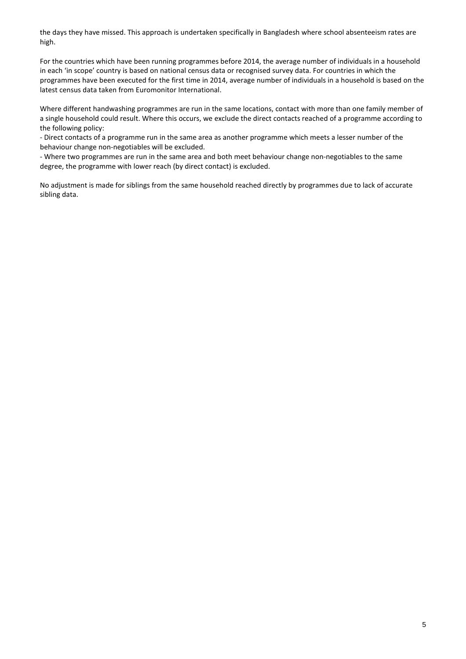the days they have missed. This approach is undertaken specifically in Bangladesh where school absenteeism rates are high.

For the countries which have been running programmes before 2014, the average number of individuals in a household in each 'in scope' country is based on national census data or recognised survey data. For countries in which the programmes have been executed for the first time in 2014, average number of individuals in a household is based on the latest census data taken from Euromonitor International.

Where different handwashing programmes are run in the same locations, contact with more than one family member of a single household could result. Where this occurs, we exclude the direct contacts reached of a programme according to the following policy:

- Direct contacts of a programme run in the same area as another programme which meets a lesser number of the behaviour change non-negotiables will be excluded.

- Where two programmes are run in the same area and both meet behaviour change non-negotiables to the same degree, the programme with lower reach (by direct contact) is excluded.

No adjustment is made for siblings from the same household reached directly by programmes due to lack of accurate sibling data.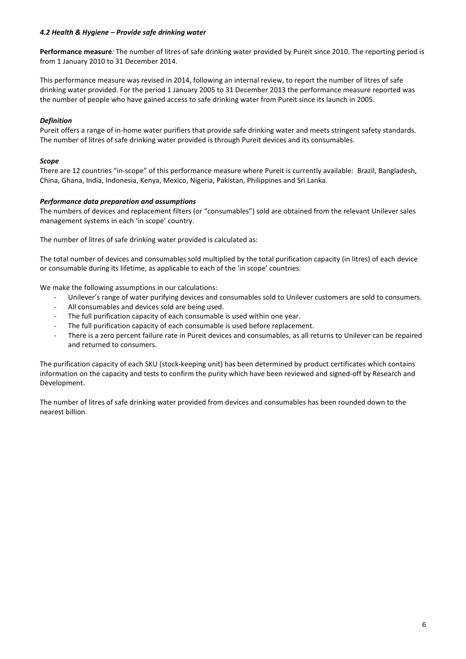## *4.2 Health & Hygiene – Provide safe drinking water*

**Performance measure***:* The number of litres of safe drinking water provided by Pureit since 2010. The reporting period is from 1 January 2010 to 31 December 2014.

This performance measure was revised in 2014, following an internal review, to report the number of litres of safe drinking water provided. For the period 1 January 2005 to 31 December 2013 the performance measure reported was the number of people who have gained access to safe drinking water from Pureit since its launch in 2005.

## *Definition*

Pureit offers a range of in-home water purifiers that provide safe drinking water and meets stringent safety standards. The number of litres of safe drinking water provided is through Pureit devices and its consumables.

## *Scope*

There are 12 countries "in-scope" of this performance measure where Pureit is currently available: Brazil, Bangladesh, China, Ghana, India, Indonesia, Kenya, Mexico, Nigeria, Pakistan, Philippines and Sri Lanka.

## *Performance data preparation and assumptions*

The numbers of devices and replacement filters (or "consumables") sold are obtained from the relevant Unilever sales management systems in each 'in scope' country.

The number of litres of safe drinking water provided is calculated as:

The total number of devices and consumables sold multiplied by the total purification capacity (in litres) of each device or consumable during its lifetime, as applicable to each of the 'in scope' countries.

We make the following assumptions in our calculations:

- Unilever's range of water purifying devices and consumables sold to Unilever customers are sold to consumers.
- All consumables and devices sold are being used.
- The full purification capacity of each consumable is used within one year.
- The full purification capacity of each consumable is used before replacement.
- There is a zero percent failure rate in Pureit devices and consumables, as all returns to Unilever can be repaired and returned to consumers.

The purification capacity of each SKU (stock-keeping unit) has been determined by product certificates which contains information on the capacity and tests to confirm the purity which have been reviewed and signed-off by Research and Development.

The number of litres of safe drinking water provided from devices and consumables has been rounded down to the nearest billion.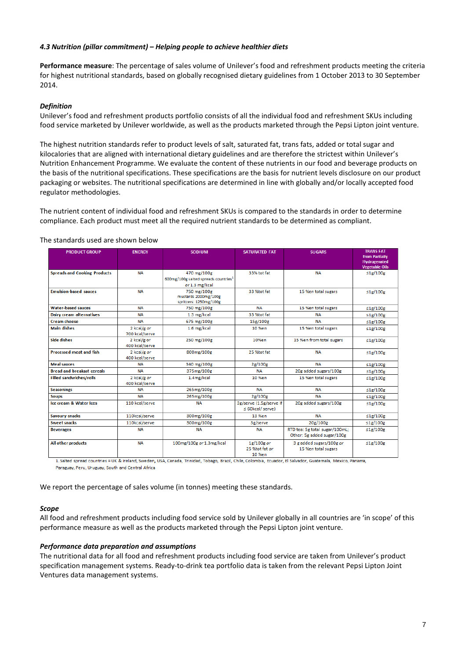## *4.3 Nutrition (pillar commitment) – Helping people to achieve healthier diets*

**Performance measure**: The percentage of sales volume of Unilever's food and refreshment products meeting the criteria for highest nutritional standards, based on globally recognised dietary guidelines from 1 October 2013 to 30 September 2014.

## *Definition*

Unilever's food and refreshment products portfolio consists of all the individual food and refreshment SKUs including food service marketed by Unilever worldwide, as well as the products marketed through the Pepsi Lipton joint venture.

The highest nutrition standards refer to product levels of salt, saturated fat, trans fats, added or total sugar and kilocalories that are aligned with international dietary guidelines and are therefore the strictest within Unilever's Nutrition Enhancement Programme. We evaluate the content of these nutrients in our food and beverage products on the basis of the nutritional specifications. These specifications are the basis for nutrient levels disclosure on our product packaging or websites. The nutritional specifications are determined in line with globally and/or locally accepted food regulator methodologies.

The nutrient content of individual food and refreshment SKUs is compared to the standards in order to determine compliance. Each product must meet all the required nutrient standards to be determined as compliant.

### The standards used are shown below

| <b>Hydrogenated</b><br><b>Vegetable Oils</b><br>≤1g/100g<br>≤1g/100g<br>$\leq$ 1g/100g |
|----------------------------------------------------------------------------------------|
|                                                                                        |
|                                                                                        |
|                                                                                        |
|                                                                                        |
|                                                                                        |
|                                                                                        |
| $\leq$ 1g/100g                                                                         |
| ≤1g/100g                                                                               |
| ≤1g/100g                                                                               |
| ≤1g/100g                                                                               |
| $\leq$ 1g/100g                                                                         |
| $\leq$ 1g/100g                                                                         |
| $\leq$ 1g/100g                                                                         |
| ≤1g/100g                                                                               |
| $\leq$ 1g/100g                                                                         |
| $\leq$ 1g/100g                                                                         |
| $\leq$ 1g/100g                                                                         |
| ≤1g/100g                                                                               |
| ≤1g/100g                                                                               |
| $\leq$ 1g/100g                                                                         |
|                                                                                        |
| $\leq$ 1g/100g                                                                         |
|                                                                                        |

1. Salted spread countries = UK & Ireland, Sweden, USA, Canada, Trinidad, Tobago, Brazil, Chile, Colombia, Ecuador, El Salvador, Guatemala, Mexico, Panama, Paraguay, Peru, Uruguay, South and Central Africa

We report the percentage of sales volume (in tonnes) meeting these standards.

### *Scope*

All food and refreshment products including food service sold by Unilever globally in all countries are 'in scope' of this performance measure as well as the products marketed through the Pepsi Lipton joint venture.

#### *Performance data preparation and assumptions*

The nutritional data for all food and refreshment products including food service are taken from Unilever's product specification management systems. Ready-to-drink tea portfolio data is taken from the relevant Pepsi Lipton Joint Ventures data management systems.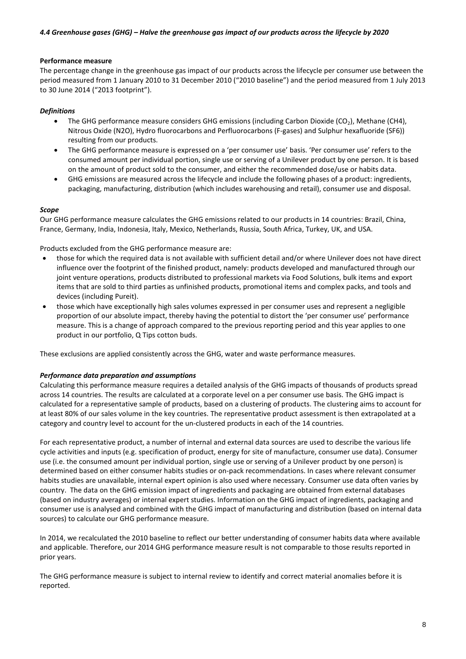#### **Performance measure**

The percentage change in the greenhouse gas impact of our products across the lifecycle per consumer use between the period measured from 1 January 2010 to 31 December 2010 ("2010 baseline") and the period measured from 1 July 2013 to 30 June 2014 ("2013 footprint").

#### *Definitions*

- The GHG performance measure considers GHG emissions (including Carbon Dioxide (CO<sub>2</sub>), Methane (CH4), Nitrous Oxide (N2O), Hydro fluorocarbons and Perfluorocarbons (F-gases) and Sulphur hexafluoride (SF6)) resulting from our products.
- The GHG performance measure is expressed on a 'per consumer use' basis. 'Per consumer use' refers to the consumed amount per individual portion, single use or serving of a Unilever product by one person. It is based on the amount of product sold to the consumer, and either the recommended dose/use or habits data.
- GHG emissions are measured across the lifecycle and include the following phases of a product: ingredients, packaging, manufacturing, distribution (which includes warehousing and retail), consumer use and disposal.

#### *Scope*

Our GHG performance measure calculates the GHG emissions related to our products in 14 countries: Brazil, China, France, Germany, India, Indonesia, Italy, Mexico, Netherlands, Russia, South Africa, Turkey, UK, and USA.

Products excluded from the GHG performance measure are:

- those for which the required data is not available with sufficient detail and/or where Unilever does not have direct influence over the footprint of the finished product, namely: products developed and manufactured through our joint venture operations, products distributed to professional markets via Food Solutions, bulk items and export items that are sold to third parties as unfinished products, promotional items and complex packs, and tools and devices (including Pureit).
- those which have exceptionally high sales volumes expressed in per consumer uses and represent a negligible proportion of our absolute impact, thereby having the potential to distort the 'per consumer use' performance measure. This is a change of approach compared to the previous reporting period and this year applies to one product in our portfolio, Q Tips cotton buds.

These exclusions are applied consistently across the GHG, water and waste performance measures.

#### *Performance data preparation and assumptions*

Calculating this performance measure requires a detailed analysis of the GHG impacts of thousands of products spread across 14 countries. The results are calculated at a corporate level on a per consumer use basis. The GHG impact is calculated for a representative sample of products, based on a clustering of products. The clustering aims to account for at least 80% of our sales volume in the key countries. The representative product assessment is then extrapolated at a category and country level to account for the un-clustered products in each of the 14 countries.

For each representative product, a number of internal and external data sources are used to describe the various life cycle activities and inputs (e.g. specification of product, energy for site of manufacture, consumer use data). Consumer use (i.e. the consumed amount per individual portion, single use or serving of a Unilever product by one person) is determined based on either consumer habits studies or on-pack recommendations. In cases where relevant consumer habits studies are unavailable, internal expert opinion is also used where necessary. Consumer use data often varies by country. The data on the GHG emission impact of ingredients and packaging are obtained from external databases (based on industry averages) or internal expert studies. Information on the GHG impact of ingredients, packaging and consumer use is analysed and combined with the GHG impact of manufacturing and distribution (based on internal data sources) to calculate our GHG performance measure.

In 2014, we recalculated the 2010 baseline to reflect our better understanding of consumer habits data where available and applicable. Therefore, our 2014 GHG performance measure result is not comparable to those results reported in prior years.

The GHG performance measure is subject to internal review to identify and correct material anomalies before it is reported.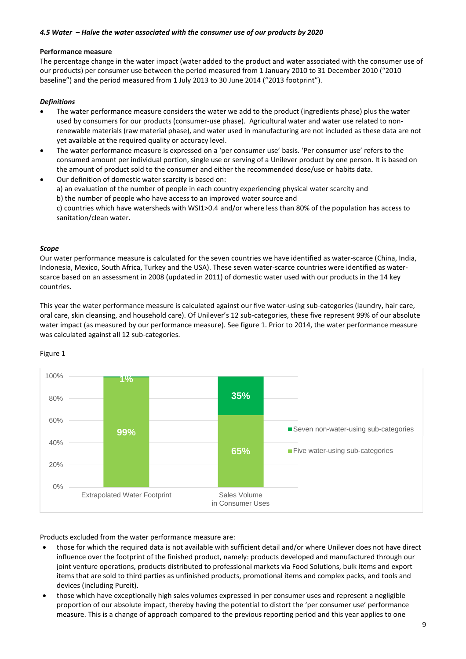### *4.5 Water – Halve the water associated with the consumer use of our products by 2020*

### **Performance measure**

The percentage change in the water impact (water added to the product and water associated with the consumer use of our products) per consumer use between the period measured from 1 January 2010 to 31 December 2010 ("2010 baseline") and the period measured from 1 July 2013 to 30 June 2014 ("2013 footprint").

## *Definitions*

- The water performance measure considers the water we add to the product (ingredients phase) plus the water used by consumers for our products (consumer-use phase). Agricultural water and water use related to nonrenewable materials (raw material phase), and water used in manufacturing are not included as these data are not yet available at the required quality or accuracy level.
- The water performance measure is expressed on a 'per consumer use' basis. 'Per consumer use' refers to the consumed amount per individual portion, single use or serving of a Unilever product by one person. It is based on the amount of product sold to the consumer and either the recommended dose/use or habits data.
- Our definition of domestic water scarcity is based on: a) an evaluation of the number of people in each country experiencing physical water scarcity and b) the number of people who have access to an improved water source and c) countries which have watersheds with WSI1>0.4 and/or where less than 80% of the population has access to sanitation/clean water.

### *Scope*

Our water performance measure is calculated for the seven countries we have identified as water-scarce (China, India, Indonesia, Mexico, South Africa, Turkey and the USA). These seven water-scarce countries were identified as waterscarce based on an assessment in 2008 (updated in 2011) of domestic water used with our products in the 14 key countries.

This year the water performance measure is calculated against our five water-using sub-categories (laundry, hair care, oral care, skin cleansing, and household care). Of Unilever's 12 sub-categories, these five represent 99% of our absolute water impact (as measured by our performance measure). See figure 1. Prior to 2014, the water performance measure was calculated against all 12 sub-categories.



### Figure 1

Products excluded from the water performance measure are:

- those for which the required data is not available with sufficient detail and/or where Unilever does not have direct influence over the footprint of the finished product, namely: products developed and manufactured through our joint venture operations, products distributed to professional markets via Food Solutions, bulk items and export items that are sold to third parties as unfinished products, promotional items and complex packs, and tools and devices (including Pureit).
- those which have exceptionally high sales volumes expressed in per consumer uses and represent a negligible proportion of our absolute impact, thereby having the potential to distort the 'per consumer use' performance measure. This is a change of approach compared to the previous reporting period and this year applies to one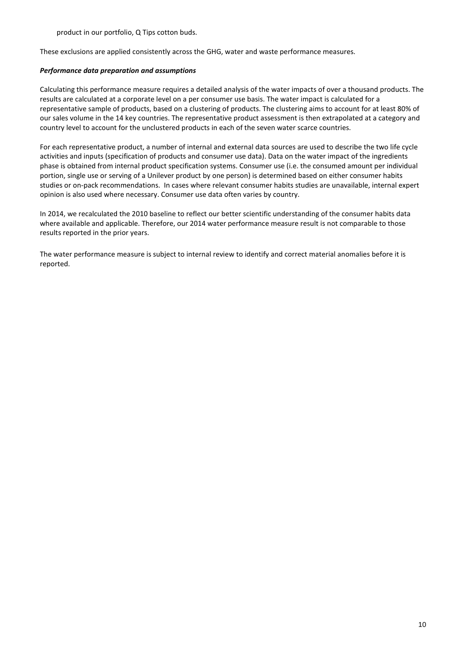product in our portfolio, Q Tips cotton buds.

These exclusions are applied consistently across the GHG, water and waste performance measures.

### *Performance data preparation and assumptions*

Calculating this performance measure requires a detailed analysis of the water impacts of over a thousand products. The results are calculated at a corporate level on a per consumer use basis. The water impact is calculated for a representative sample of products, based on a clustering of products. The clustering aims to account for at least 80% of our sales volume in the 14 key countries. The representative product assessment is then extrapolated at a category and country level to account for the unclustered products in each of the seven water scarce countries.

For each representative product, a number of internal and external data sources are used to describe the two life cycle activities and inputs (specification of products and consumer use data). Data on the water impact of the ingredients phase is obtained from internal product specification systems. Consumer use (i.e. the consumed amount per individual portion, single use or serving of a Unilever product by one person) is determined based on either consumer habits studies or on-pack recommendations. In cases where relevant consumer habits studies are unavailable, internal expert opinion is also used where necessary. Consumer use data often varies by country.

In 2014, we recalculated the 2010 baseline to reflect our better scientific understanding of the consumer habits data where available and applicable. Therefore, our 2014 water performance measure result is not comparable to those results reported in the prior years.

The water performance measure is subject to internal review to identify and correct material anomalies before it is reported.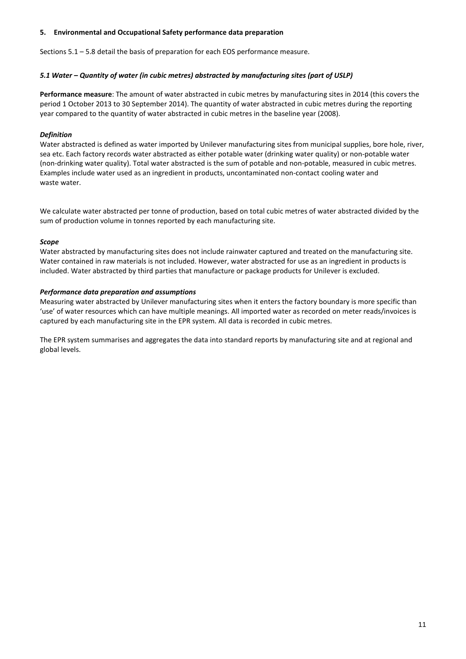## **5. Environmental and Occupational Safety performance data preparation**

Sections 5.1 – 5.8 detail the basis of preparation for each EOS performance measure.

## *5.1 Water – Quantity of water (in cubic metres) abstracted by manufacturing sites (part of USLP)*

**Performance measure**: The amount of water abstracted in cubic metres by manufacturing sites in 2014 (this covers the period 1 October 2013 to 30 September 2014). The quantity of water abstracted in cubic metres during the reporting year compared to the quantity of water abstracted in cubic metres in the baseline year (2008).

## *Definition*

Water abstracted is defined as water imported by Unilever manufacturing sites from municipal supplies, bore hole, river, sea etc. Each factory records water abstracted as either potable water (drinking water quality) or non-potable water (non-drinking water quality). Total water abstracted is the sum of potable and non-potable, measured in cubic metres. Examples include water used as an ingredient in products, uncontaminated non-contact cooling water and waste water.

We calculate water abstracted per tonne of production, based on total cubic metres of water abstracted divided by the sum of production volume in tonnes reported by each manufacturing site.

### *Scope*

Water abstracted by manufacturing sites does not include rainwater captured and treated on the manufacturing site. Water contained in raw materials is not included. However, water abstracted for use as an ingredient in products is included. Water abstracted by third parties that manufacture or package products for Unilever is excluded.

### *Performance data preparation and assumptions*

Measuring water abstracted by Unilever manufacturing sites when it enters the factory boundary is more specific than 'use' of water resources which can have multiple meanings. All imported water as recorded on meter reads/invoices is captured by each manufacturing site in the EPR system. All data is recorded in cubic metres.

The EPR system summarises and aggregates the data into standard reports by manufacturing site and at regional and global levels.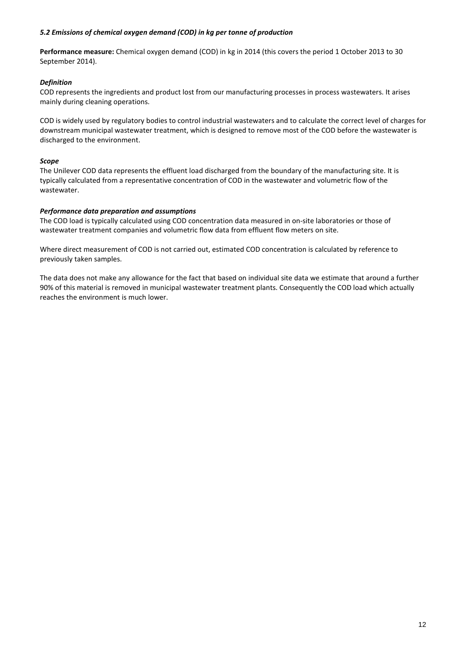## *5.2 Emissions of chemical oxygen demand (COD) in kg per tonne of production*

**Performance measure:** Chemical oxygen demand (COD) in kg in 2014 (this covers the period 1 October 2013 to 30 September 2014).

## *Definition*

COD represents the ingredients and product lost from our manufacturing processes in process wastewaters. It arises mainly during cleaning operations.

COD is widely used by regulatory bodies to control industrial wastewaters and to calculate the correct level of charges for downstream municipal wastewater treatment, which is designed to remove most of the COD before the wastewater is discharged to the environment.

## *Scope*

The Unilever COD data represents the effluent load discharged from the boundary of the manufacturing site. It is typically calculated from a representative concentration of COD in the wastewater and volumetric flow of the wastewater.

## *Performance data preparation and assumptions*

The COD load is typically calculated using COD concentration data measured in on-site laboratories or those of wastewater treatment companies and volumetric flow data from effluent flow meters on site.

Where direct measurement of COD is not carried out, estimated COD concentration is calculated by reference to previously taken samples.

The data does not make any allowance for the fact that based on individual site data we estimate that around a further 90% of this material is removed in municipal wastewater treatment plants. Consequently the COD load which actually reaches the environment is much lower.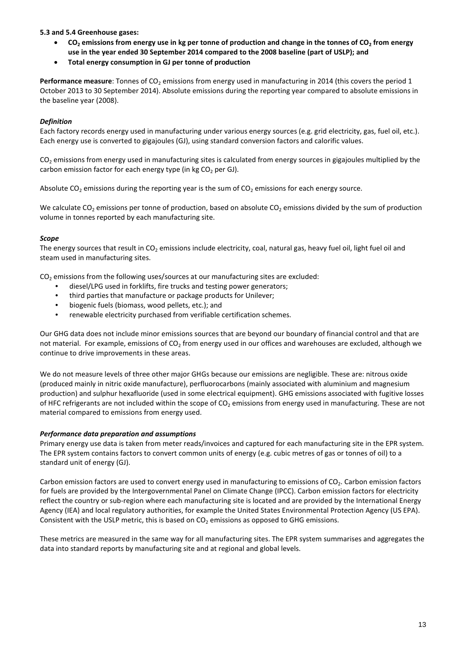## **5.3 and 5.4 Greenhouse gases:**

- CO<sub>2</sub> emissions from energy use in kg per tonne of production and change in the tonnes of CO<sub>2</sub> from energy **use in the year ended 30 September 2014 compared to the 2008 baseline (part of USLP); and**
- **Total energy consumption in GJ per tonne of production**

**Performance measure**: Tonnes of CO<sub>2</sub> emissions from energy used in manufacturing in 2014 (this covers the period 1 October 2013 to 30 September 2014). Absolute emissions during the reporting year compared to absolute emissions in the baseline year (2008).

## *Definition*

Each factory records energy used in manufacturing under various energy sources (e.g. grid electricity, gas, fuel oil, etc.). Each energy use is converted to gigajoules (GJ), using standard conversion factors and calorific values.

CO<sub>2</sub> emissions from energy used in manufacturing sites is calculated from energy sources in gigajoules multiplied by the carbon emission factor for each energy type (in kg  $CO<sub>2</sub>$  per GJ).

Absolute  $CO<sub>2</sub>$  emissions during the reporting year is the sum of  $CO<sub>2</sub>$  emissions for each energy source.

We calculate  $CO<sub>2</sub>$  emissions per tonne of production, based on absolute  $CO<sub>2</sub>$  emissions divided by the sum of production volume in tonnes reported by each manufacturing site.

## *Scope*

The energy sources that result in CO<sub>2</sub> emissions include electricity, coal, natural gas, heavy fuel oil, light fuel oil and steam used in manufacturing sites.

 $CO<sub>2</sub>$  emissions from the following uses/sources at our manufacturing sites are excluded:

- diesel/LPG used in forklifts, fire trucks and testing power generators;
- third parties that manufacture or package products for Unilever;
- biogenic fuels (biomass, wood pellets, etc.); and
- renewable electricity purchased from verifiable certification schemes.

Our GHG data does not include minor emissions sources that are beyond our boundary of financial control and that are not material. For example, emissions of  $CO<sub>2</sub>$  from energy used in our offices and warehouses are excluded, although we continue to drive improvements in these areas.

We do not measure levels of three other major GHGs because our emissions are negligible. These are: nitrous oxide (produced mainly in nitric oxide manufacture), perfluorocarbons (mainly associated with aluminium and magnesium production) and sulphur hexafluoride (used in some electrical equipment). GHG emissions associated with fugitive losses of HFC refrigerants are not included within the scope of CO<sub>2</sub> emissions from energy used in manufacturing. These are not material compared to emissions from energy used.

### *Performance data preparation and assumptions*

Primary energy use data is taken from meter reads/invoices and captured for each manufacturing site in the EPR system. The EPR system contains factors to convert common units of energy (e.g. cubic metres of gas or tonnes of oil) to a standard unit of energy (GJ).

Carbon emission factors are used to convert energy used in manufacturing to emissions of  $CO<sub>2</sub>$ . Carbon emission factors for fuels are provided by the Intergovernmental Panel on Climate Change (IPCC). Carbon emission factors for electricity reflect the country or sub-region where each manufacturing site is located and are provided by the International Energy Agency (IEA) and local regulatory authorities, for example the United States Environmental Protection Agency (US EPA). Consistent with the USLP metric, this is based on  $CO<sub>2</sub>$  emissions as opposed to GHG emissions.

These metrics are measured in the same way for all manufacturing sites. The EPR system summarises and aggregates the data into standard reports by manufacturing site and at regional and global levels.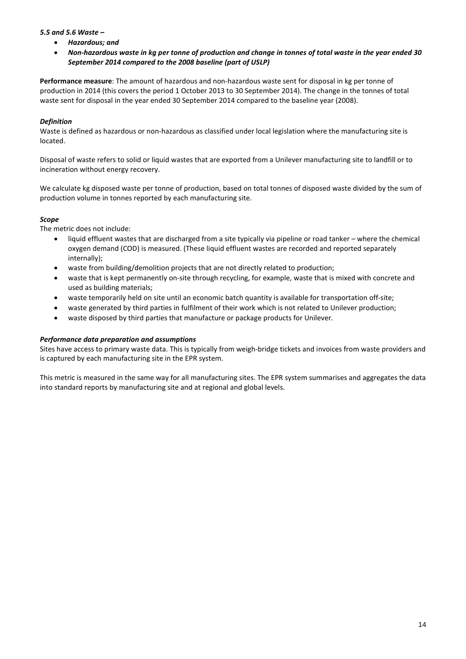## *5.5 and 5.6 Waste –*

- *Hazardous; and*
- *Non-hazardous waste in kg per tonne of production and change in tonnes of total waste in the year ended 30 September 2014 compared to the 2008 baseline (part of USLP)*

**Performance measure**: The amount of hazardous and non-hazardous waste sent for disposal in kg per tonne of production in 2014 (this covers the period 1 October 2013 to 30 September 2014). The change in the tonnes of total waste sent for disposal in the year ended 30 September 2014 compared to the baseline year (2008).

## *Definition*

Waste is defined as hazardous or non-hazardous as classified under local legislation where the manufacturing site is located.

Disposal of waste refers to solid or liquid wastes that are exported from a Unilever manufacturing site to landfill or to incineration without energy recovery.

We calculate kg disposed waste per tonne of production, based on total tonnes of disposed waste divided by the sum of production volume in tonnes reported by each manufacturing site.

## *Scope*

The metric does not include:

- liquid effluent wastes that are discharged from a site typically via pipeline or road tanker where the chemical oxygen demand (COD) is measured. (These liquid effluent wastes are recorded and reported separately internally);
- waste from building/demolition projects that are not directly related to production;
- waste that is kept permanently on-site through recycling, for example, waste that is mixed with concrete and used as building materials;
- waste temporarily held on site until an economic batch quantity is available for transportation off-site;
- waste generated by third parties in fulfilment of their work which is not related to Unilever production;
- waste disposed by third parties that manufacture or package products for Unilever.

### *Performance data preparation and assumptions*

Sites have access to primary waste data. This is typically from weigh-bridge tickets and invoices from waste providers and is captured by each manufacturing site in the EPR system.

This metric is measured in the same way for all manufacturing sites. The EPR system summarises and aggregates the data into standard reports by manufacturing site and at regional and global levels.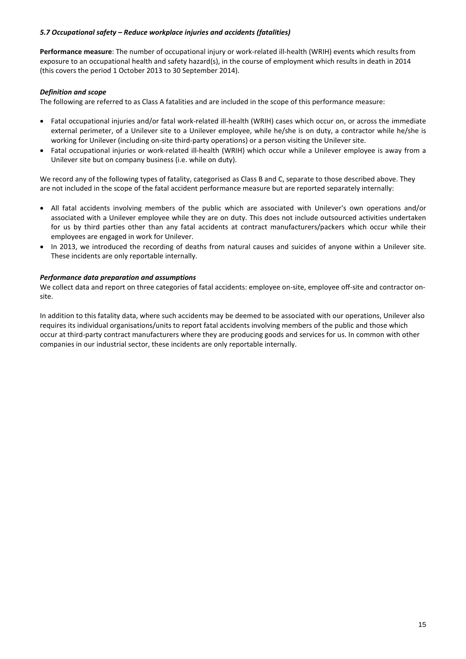## *5.7 Occupational safety – Reduce workplace injuries and accidents (fatalities)*

**Performance measure**: The number of occupational injury or work-related ill-health (WRIH) events which results from exposure to an occupational health and safety hazard(s), in the course of employment which results in death in 2014 (this covers the period 1 October 2013 to 30 September 2014).

## *Definition and scope*

The following are referred to as Class A fatalities and are included in the scope of this performance measure:

- Fatal occupational injuries and/or fatal work-related ill-health (WRIH) cases which occur on, or across the immediate external perimeter, of a Unilever site to a Unilever employee, while he/she is on duty, a contractor while he/she is working for Unilever (including on-site third-party operations) or a person visiting the Unilever site.
- Fatal occupational injuries or work-related ill-health (WRIH) which occur while a Unilever employee is away from a Unilever site but on company business (i.e. while on duty).

We record any of the following types of fatality, categorised as Class B and C, separate to those described above. They are not included in the scope of the fatal accident performance measure but are reported separately internally:

- All fatal accidents involving members of the public which are associated with Unilever's own operations and/or associated with a Unilever employee while they are on duty. This does not include outsourced activities undertaken for us by third parties other than any fatal accidents at contract manufacturers/packers which occur while their employees are engaged in work for Unilever.
- In 2013, we introduced the recording of deaths from natural causes and suicides of anyone within a Unilever site. These incidents are only reportable internally.

### *Performance data preparation and assumptions*

 We collect data and report on three categories of fatal accidents: employee on-site, employee off-site and contractor onsite.

 occur at third-party contract manufacturers where they are producing goods and services for us. In common with other In addition to this fatality data, where such accidents may be deemed to be associated with our operations, Unilever also requires its individual organisations/units to report fatal accidents involving members of the public and those which companies in our industrial sector, these incidents are only reportable internally.